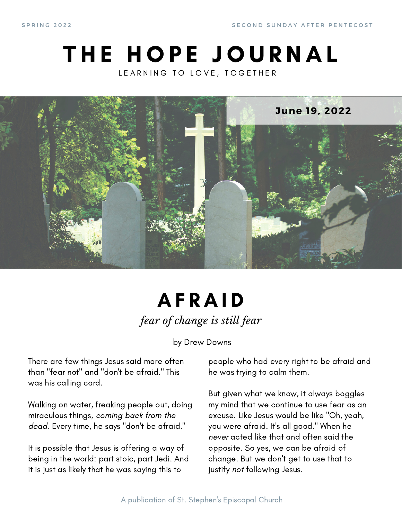S PRING 2022 SECOND SUNDAY AFTER PENTECOST

### THE HOPE JOURNAL LEARNING TO LOVE, TOGETHER



### **AFRAID** *fear of change is still fear*

by Drew Downs

There are few things Jesus said more often than "fear not" and "don't be afraid." This was his calling card.

Walking on water, freaking people out, doing miraculous things, coming back from the dead. Every time, he says "don't be afraid."

It is possible that Jesus is offering a way of being in the world: part stoic, part Jedi. And it is just as likely that he was saying this to

people who had every right to be afraid and he was trying to calm them.

But given what we know, it always boggles my mind that we continue to use fear as an excuse. Like Jesus would be like "Oh, yeah, you were afraid. It's all good." When he never acted like that and often said the opposite. So yes, we can be afraid of change. But we don't get to use that to justify not following Jesus.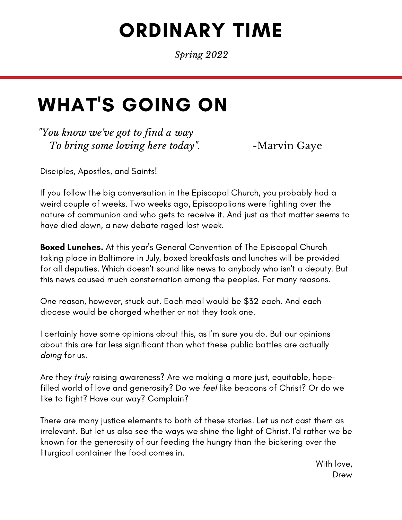# ORDINARY TIME

*Spring 2022*

## WHAT'S GOING ON

*"You know we've got to find a way To bring some loving here today*". -Marvin Gaye

Disciples, Apostles, and Saints!

If you follow the big conversation in the Episcopal Church, you probably had a weird couple of weeks. Two weeks ago, Episcopalians were fighting over the nature of communion and who gets to receive it. And just as that matter seems to have died down, a new debate raged last week.

**Boxed Lunches.** At this year's General Convention of The Episcopal Church taking place in Baltimore in July, boxed breakfasts and lunches will be provided for all deputies. Which doesn't sound like news to anybody who isn't a deputy. But this news caused much consternation among the peoples. For many reasons.

One reason, however, stuck out. Each meal would be \$32 each. And each diocese would be charged whether or not they took one.

I certainly have some opinions about this, as I'm sure you do. But our opinions about this are far less significant than what these public battles are actually doing for us.

Are they truly raising awareness? Are we making a more just, equitable, hopefilled world of love and generosity? Do we feel like beacons of Christ? Or do we like to fight? Have our way? Complain?

There are many justice elements to both of these stories. Let us not cast them as irrelevant. But let us also see the ways we shine the light of Christ. I'd rather we be known for the generosity of our feeding the hungry than the bickering over the liturgical container the food comes in.

> With love, Drew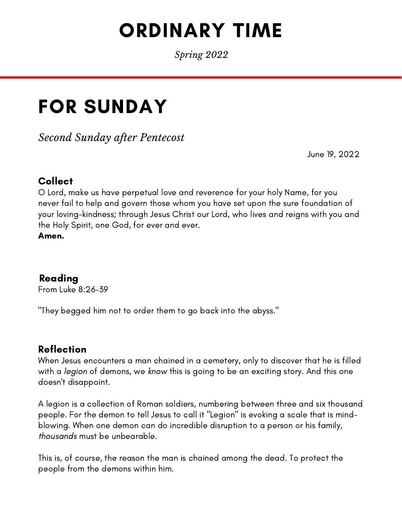# ORDINARY TIME

*Spring 2022*

## FOR SUNDAY

*Second Sunday after Pentecost*

June 19, 2022

#### Collect

O Lord, make us have perpetual love and reverence for your holy Name, for you never fail to help and govern those whom you have set upon the sure foundation of your loving-kindness; through Jesus Christ our Lord, who lives and reigns with you and the Holy Spirit, one God, for ever and ever.

Amen.

#### Reading

From Luke 8:26-39

"They begged him not to order them to go back into the abyss."

#### Reflection

When Jesus encounters a man chained in a cemetery, only to discover that he is filled with a *legion* of demons, we know this is going to be an exciting story. And this one doesn't disappoint.

A legion is a collection of Roman soldiers, numbering between three and six thousand people. For the demon to tell Jesus to call it "Legion" is evoking a scale that is mindblowing. When one demon can do incredible disruption to a person or his family, thousands must be unbearable.

This is, of course, the reason the man is chained among the dead. To protect the people from the demons within him.